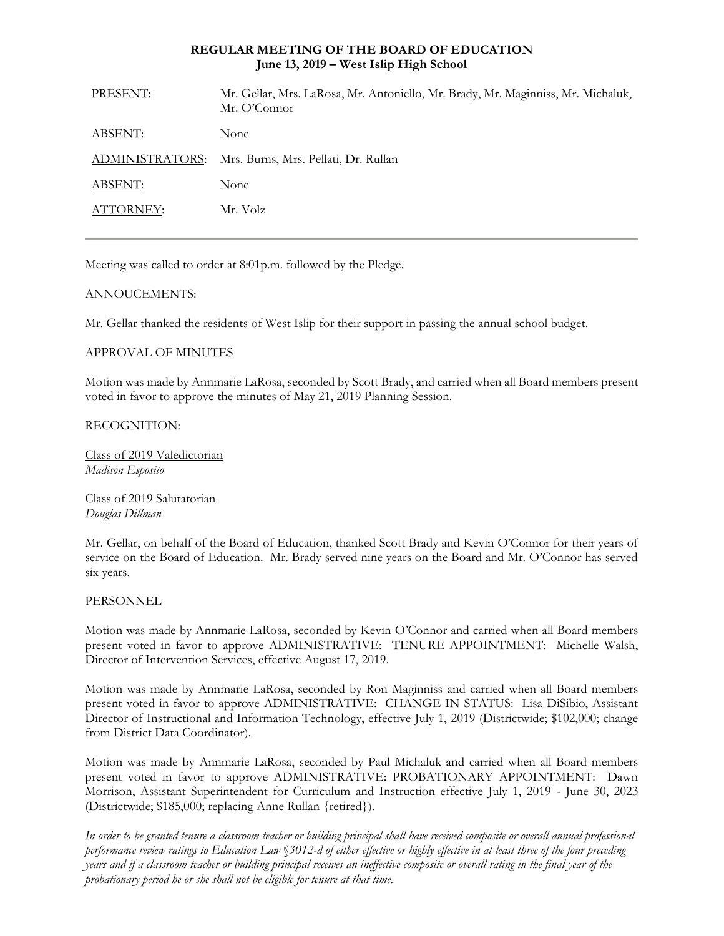## **REGULAR MEETING OF THE BOARD OF EDUCATION June 13, 2019 – West Islip High School**

| PRESENT:  | Mr. Gellar, Mrs. LaRosa, Mr. Antoniello, Mr. Brady, Mr. Maginniss, Mr. Michaluk,<br>Mr. O'Connor |
|-----------|--------------------------------------------------------------------------------------------------|
| ABSENT:   | None                                                                                             |
|           | ADMINISTRATORS: Mrs. Burns, Mrs. Pellati, Dr. Rullan                                             |
| ABSENT:   | None                                                                                             |
| ATTORNEY: | Mr. Volz                                                                                         |
|           |                                                                                                  |

Meeting was called to order at 8:01p.m. followed by the Pledge.

## ANNOUCEMENTS:

Mr. Gellar thanked the residents of West Islip for their support in passing the annual school budget.

## APPROVAL OF MINUTES

Motion was made by Annmarie LaRosa, seconded by Scott Brady, and carried when all Board members present voted in favor to approve the minutes of May 21, 2019 Planning Session.

## RECOGNITION:

Class of 2019 Valedictorian *Madison Esposito*

Class of 2019 Salutatorian *Douglas Dillman*

Mr. Gellar, on behalf of the Board of Education, thanked Scott Brady and Kevin O'Connor for their years of service on the Board of Education. Mr. Brady served nine years on the Board and Mr. O'Connor has served six years.

## PERSONNEL

Motion was made by Annmarie LaRosa, seconded by Kevin O'Connor and carried when all Board members present voted in favor to approve ADMINISTRATIVE: TENURE APPOINTMENT: Michelle Walsh, Director of Intervention Services, effective August 17, 2019.

Motion was made by Annmarie LaRosa, seconded by Ron Maginniss and carried when all Board members present voted in favor to approve ADMINISTRATIVE: CHANGE IN STATUS: Lisa DiSibio, Assistant Director of Instructional and Information Technology, effective July 1, 2019 (Districtwide; \$102,000; change from District Data Coordinator).

Motion was made by Annmarie LaRosa, seconded by Paul Michaluk and carried when all Board members present voted in favor to approve ADMINISTRATIVE: PROBATIONARY APPOINTMENT: Dawn Morrison, Assistant Superintendent for Curriculum and Instruction effective July 1, 2019 - June 30, 2023 (Districtwide; \$185,000; replacing Anne Rullan {retired}).

*In order to be granted tenure a classroom teacher or building principal shall have received composite or overall annual professional performance review ratings to Education Law* §*3012-d of either effective or highly effective in at least three of the four preceding years and if a classroom teacher or building principal receives an ineffective composite or overall rating in the final year of the probationary period he or she shall not be eligible for tenure at that time.*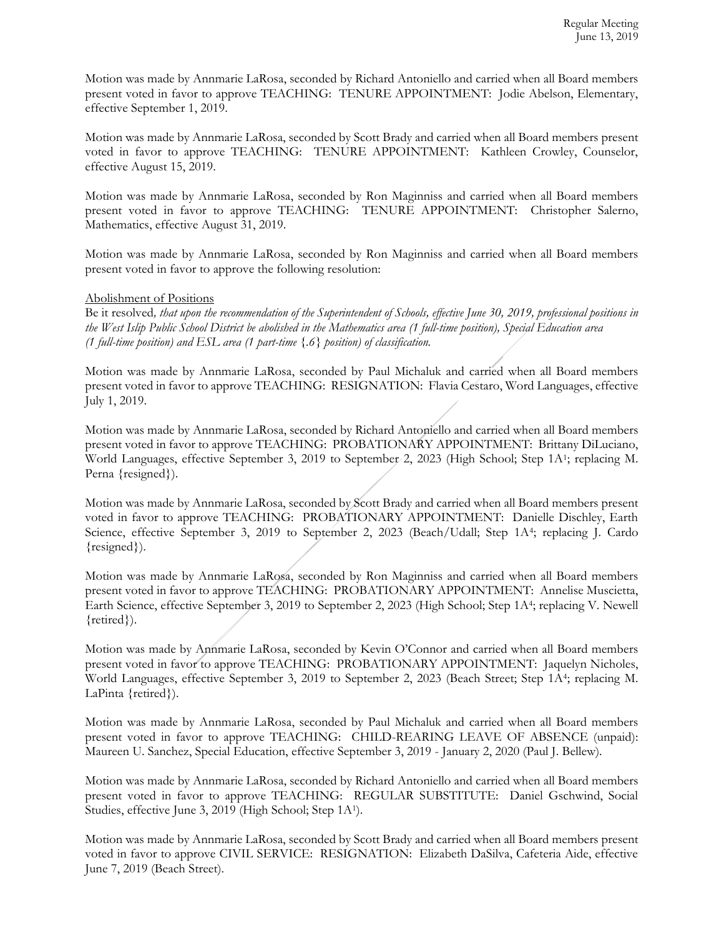Motion was made by Annmarie LaRosa, seconded by Richard Antoniello and carried when all Board members present voted in favor to approve TEACHING: TENURE APPOINTMENT: Jodie Abelson, Elementary, effective September 1, 2019.

Motion was made by Annmarie LaRosa, seconded by Scott Brady and carried when all Board members present voted in favor to approve TEACHING: TENURE APPOINTMENT: Kathleen Crowley, Counselor, effective August 15, 2019.

Motion was made by Annmarie LaRosa, seconded by Ron Maginniss and carried when all Board members present voted in favor to approve TEACHING: TENURE APPOINTMENT: Christopher Salerno, Mathematics, effective August 31, 2019.

Motion was made by Annmarie LaRosa, seconded by Ron Maginniss and carried when all Board members present voted in favor to approve the following resolution:

### Abolishment of Positions

Be it resolved*, that upon the recommendation of the Superintendent of Schools, effective June 30, 2019, professional positions in the West Islip Public School District be abolished in the Mathematics area (1 full-time position), Special Education area (1 full-time position) and ESL area (1 part-time {.6} position) of classification.* 

Motion was made by Annmarie LaRosa, seconded by Paul Michaluk and carried when all Board members present voted in favor to approve TEACHING: RESIGNATION: Flavia Cestaro, Word Languages, effective July 1, 2019.

Motion was made by Annmarie LaRosa, seconded by Richard Antoniello and carried when all Board members present voted in favor to approve TEACHING: PROBATIONARY APPOINTMENT: Brittany DiLuciano, World Languages, effective September 3, 2019 to September 2, 2023 (High School; Step 1A<sup>1</sup>; replacing M. Perna {resigned}).

Motion was made by Annmarie LaRosa, seconded by Scott Brady and carried when all Board members present voted in favor to approve TEACHING: PROBATIONARY APPOINTMENT: Danielle Dischley, Earth Science, effective September 3, 2019 to September 2, 2023 (Beach/Udall; Step 1A<sup>4</sup>; replacing J. Cardo {resigned}).

Motion was made by Annmarie LaRosa, seconded by Ron Maginniss and carried when all Board members present voted in favor to approve TEACHING: PROBATIONARY APPOINTMENT: Annelise Muscietta, Earth Science, effective September 3, 2019 to September 2, 2023 (High School; Step 1A<sup>4</sup>; replacing V. Newell {retired}).

Motion was made by Annmarie LaRosa, seconded by Kevin O'Connor and carried when all Board members present voted in favor to approve TEACHING: PROBATIONARY APPOINTMENT: Jaquelyn Nicholes, World Languages, effective September 3, 2019 to September 2, 2023 (Beach Street; Step 1A<sup>4</sup>; replacing M. LaPinta {retired}).

Motion was made by Annmarie LaRosa, seconded by Paul Michaluk and carried when all Board members present voted in favor to approve TEACHING: CHILD-REARING LEAVE OF ABSENCE (unpaid): Maureen U. Sanchez, Special Education, effective September 3, 2019 - January 2, 2020 (Paul J. Bellew).

Motion was made by Annmarie LaRosa, seconded by Richard Antoniello and carried when all Board members present voted in favor to approve TEACHING: REGULAR SUBSTITUTE: Daniel Gschwind, Social Studies, effective June 3, 2019 (High School; Step 1A<sup>1</sup>).

Motion was made by Annmarie LaRosa, seconded by Scott Brady and carried when all Board members present voted in favor to approve CIVIL SERVICE: RESIGNATION: Elizabeth DaSilva, Cafeteria Aide, effective June 7, 2019 (Beach Street).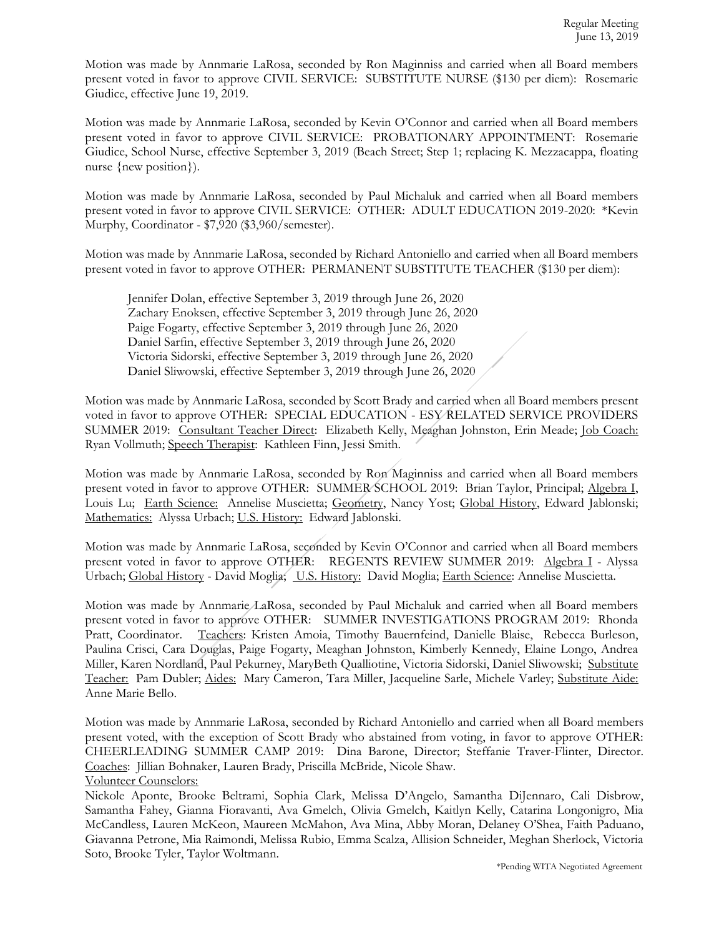Motion was made by Annmarie LaRosa, seconded by Ron Maginniss and carried when all Board members present voted in favor to approve CIVIL SERVICE: SUBSTITUTE NURSE (\$130 per diem): Rosemarie Giudice, effective June 19, 2019.

Motion was made by Annmarie LaRosa, seconded by Kevin O'Connor and carried when all Board members present voted in favor to approve CIVIL SERVICE: PROBATIONARY APPOINTMENT: Rosemarie Giudice, School Nurse, effective September 3, 2019 (Beach Street; Step 1; replacing K. Mezzacappa, floating nurse {new position}).

Motion was made by Annmarie LaRosa, seconded by Paul Michaluk and carried when all Board members present voted in favor to approve CIVIL SERVICE: OTHER: ADULT EDUCATION 2019-2020: \*Kevin Murphy, Coordinator - \$7,920 (\$3,960/semester).

Motion was made by Annmarie LaRosa, seconded by Richard Antoniello and carried when all Board members present voted in favor to approve OTHER: PERMANENT SUBSTITUTE TEACHER (\$130 per diem):

Jennifer Dolan, effective September 3, 2019 through June 26, 2020 Zachary Enoksen, effective September 3, 2019 through June 26, 2020 Paige Fogarty, effective September 3, 2019 through June 26, 2020 Daniel Sarfin, effective September 3, 2019 through June 26, 2020 Victoria Sidorski, effective September 3, 2019 through June 26, 2020 Daniel Sliwowski, effective September 3, 2019 through June 26, 2020

Motion was made by Annmarie LaRosa, seconded by Scott Brady and carried when all Board members present voted in favor to approve OTHER: SPECIAL EDUCATION - ESY RELATED SERVICE PROVIDERS SUMMER 2019: Consultant Teacher Direct: Elizabeth Kelly, Meaghan Johnston, Erin Meade; Job Coach: Ryan Vollmuth; Speech Therapist: Kathleen Finn, Jessi Smith.

Motion was made by Annmarie LaRosa, seconded by Ron Maginniss and carried when all Board members present voted in favor to approve OTHER: SUMMER SCHOOL 2019: Brian Taylor, Principal; Algebra I, Louis Lu; Earth Science: Annelise Muscietta; Geometry, Nancy Yost; Global History, Edward Jablonski; Mathematics: Alyssa Urbach; U.S. History: Edward Jablonski.

Motion was made by Annmarie LaRosa, seconded by Kevin O'Connor and carried when all Board members present voted in favor to approve OTHER: REGENTS REVIEW SUMMER 2019: Algebra I - Alyssa Urbach; Global History - David Moglia; U.S. History: David Moglia; Earth Science: Annelise Muscietta.

Motion was made by Annmarie LaRosa, seconded by Paul Michaluk and carried when all Board members present voted in favor to approve OTHER: SUMMER INVESTIGATIONS PROGRAM 2019: Rhonda Pratt, Coordinator. Teachers: Kristen Amoia, Timothy Bauernfeind, Danielle Blaise, Rebecca Burleson, Paulina Crisci, Cara Douglas, Paige Fogarty, Meaghan Johnston, Kimberly Kennedy, Elaine Longo, Andrea Miller, Karen Nordland, Paul Pekurney, MaryBeth Qualliotine, Victoria Sidorski, Daniel Sliwowski; Substitute Teacher: Pam Dubler; Aides: Mary Cameron, Tara Miller, Jacqueline Sarle, Michele Varley; Substitute Aide: Anne Marie Bello.

Motion was made by Annmarie LaRosa, seconded by Richard Antoniello and carried when all Board members present voted, with the exception of Scott Brady who abstained from voting, in favor to approve OTHER: CHEERLEADING SUMMER CAMP 2019: Dina Barone, Director; Steffanie Traver-Flinter, Director. Coaches: Jillian Bohnaker, Lauren Brady, Priscilla McBride, Nicole Shaw. Volunteer Counselors:

Nickole Aponte, Brooke Beltrami, Sophia Clark, Melissa D'Angelo, Samantha DiJennaro, Cali Disbrow, Samantha Fahey, Gianna Fioravanti, Ava Gmelch, Olivia Gmelch, Kaitlyn Kelly, Catarina Longonigro, Mia McCandless, Lauren McKeon, Maureen McMahon, Ava Mina, Abby Moran, Delaney O'Shea, Faith Paduano, Giavanna Petrone, Mia Raimondi, Melissa Rubio, Emma Scalza, Allision Schneider, Meghan Sherlock, Victoria Soto, Brooke Tyler, Taylor Woltmann.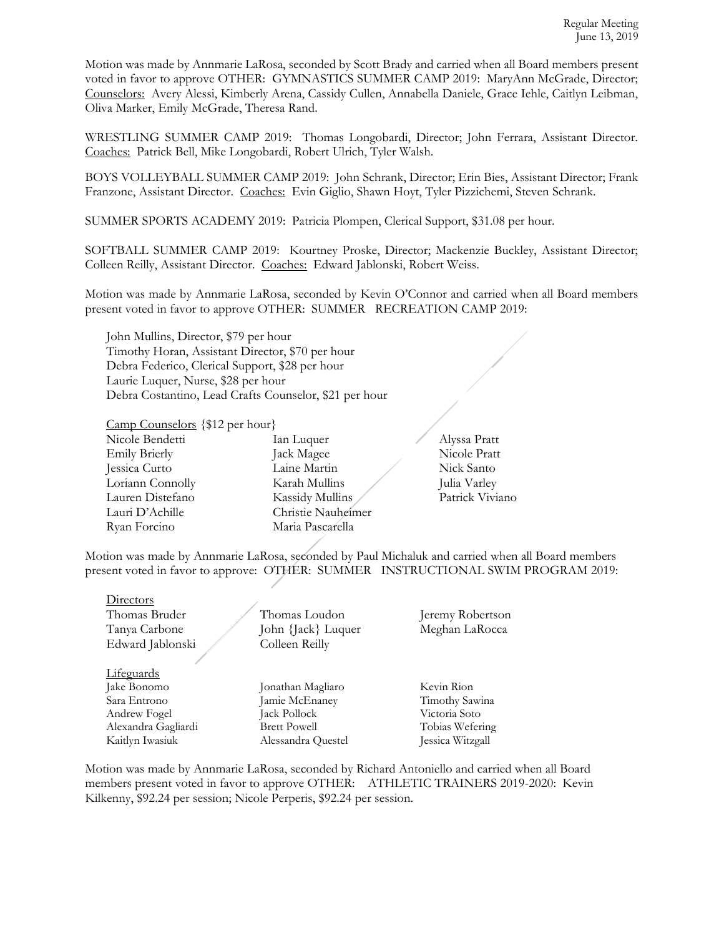Motion was made by Annmarie LaRosa, seconded by Scott Brady and carried when all Board members present voted in favor to approve OTHER: GYMNASTICS SUMMER CAMP 2019: MaryAnn McGrade, Director; Counselors: Avery Alessi, Kimberly Arena, Cassidy Cullen, Annabella Daniele, Grace Iehle, Caitlyn Leibman, Oliva Marker, Emily McGrade, Theresa Rand.

WRESTLING SUMMER CAMP 2019: Thomas Longobardi, Director; John Ferrara, Assistant Director. Coaches: Patrick Bell, Mike Longobardi, Robert Ulrich, Tyler Walsh.

BOYS VOLLEYBALL SUMMER CAMP 2019: John Schrank, Director; Erin Bies, Assistant Director; Frank Franzone, Assistant Director. Coaches: Evin Giglio, Shawn Hoyt, Tyler Pizzichemi, Steven Schrank.

SUMMER SPORTS ACADEMY 2019: Patricia Plompen, Clerical Support, \$31.08 per hour.

SOFTBALL SUMMER CAMP 2019: Kourtney Proske, Director; Mackenzie Buckley, Assistant Director; Colleen Reilly, Assistant Director. Coaches: Edward Jablonski, Robert Weiss.

Motion was made by Annmarie LaRosa, seconded by Kevin O'Connor and carried when all Board members present voted in favor to approve OTHER: SUMMER RECREATION CAMP 2019:

John Mullins, Director, \$79 per hour Timothy Horan, Assistant Director, \$70 per hour Debra Federico, Clerical Support, \$28 per hour Laurie Luquer, Nurse, \$28 per hour Debra Costantino, Lead Crafts Counselor, \$21 per hour

Camp Counselors {\$12 per hour}

| Nicole Bendetti      | Ian Luquer         |
|----------------------|--------------------|
| <b>Emily Brierly</b> | Jack Magee         |
| Jessica Curto        | Laine Martin       |
| Loriann Connolly     | Karah Mullins      |
| Lauren Distefano     | Kassidy Mullins    |
| Lauri D'Achille      | Christie Nauheimer |
| Ryan Forcino         | Maria Pascarella   |
|                      |                    |

nicole Bendetti II. Alyssa Pratt emily Britannicole Pratt artin Nick Santo Lullins Julia Varley Mullins **Patrick Viviano** 

Motion was made by Annmarie LaRosa, seconded by Paul Michaluk and carried when all Board members present voted in favor to approve: OTHER: SUMMER INSTRUCTIONAL SWIM PROGRAM 2019:

| Directors           |                     |                  |
|---------------------|---------------------|------------------|
| Thomas Bruder       | Thomas Loudon       | Jeremy Robertson |
| Tanya Carbone       | John {Jack} Luquer  | Meghan LaRocca   |
| Edward Jablonski    | Colleen Reilly      |                  |
|                     |                     |                  |
| Lifeguards          |                     |                  |
| Jake Bonomo         | Jonathan Magliaro   | Kevin Rion       |
| Sara Entrono        | Jamie McEnaney      | Timothy Sawina   |
| Andrew Fogel        | Jack Pollock        | Victoria Soto    |
| Alexandra Gagliardi | <b>Brett Powell</b> | Tobias Wefering  |
| Kaitlyn Iwasiuk     | Alessandra Questel  | Jessica Witzgall |
|                     |                     |                  |

Motion was made by Annmarie LaRosa, seconded by Richard Antoniello and carried when all Board members present voted in favor to approve OTHER: ATHLETIC TRAINERS 2019-2020: Kevin Kilkenny, \$92.24 per session; Nicole Perperis, \$92.24 per session.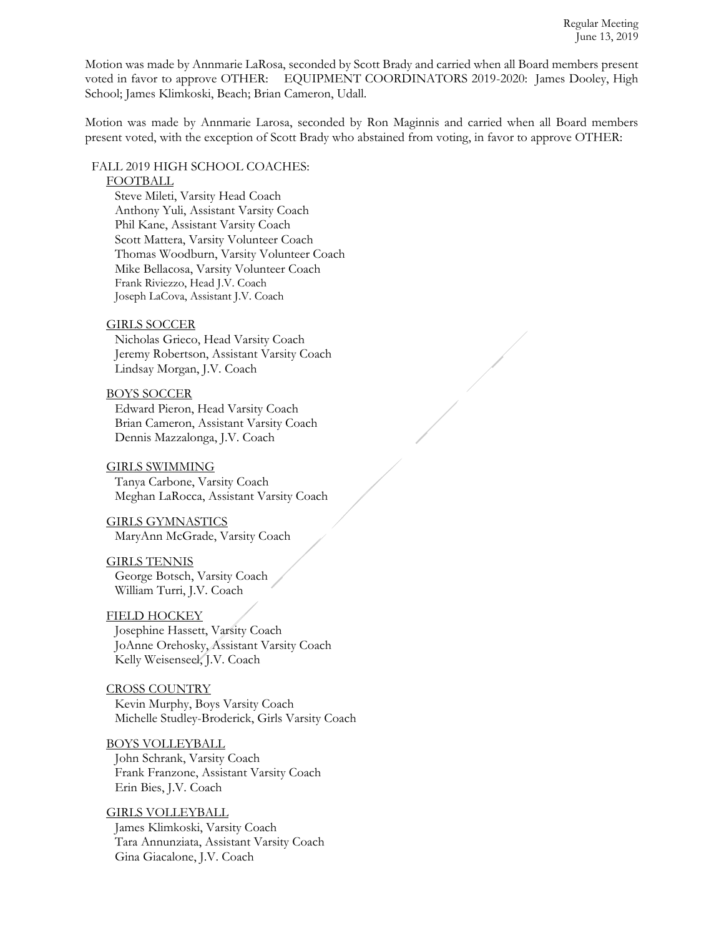Motion was made by Annmarie LaRosa, seconded by Scott Brady and carried when all Board members present voted in favor to approve OTHER: EQUIPMENT COORDINATORS 2019-2020: James Dooley, High School; James Klimkoski, Beach; Brian Cameron, Udall.

Motion was made by Annmarie Larosa, seconded by Ron Maginnis and carried when all Board members present voted, with the exception of Scott Brady who abstained from voting, in favor to approve OTHER:

# FALL 2019 HIGH SCHOOL COACHES:

## FOOTBALL

Steve Mileti, Varsity Head Coach Anthony Yuli, Assistant Varsity Coach Phil Kane, Assistant Varsity Coach Scott Mattera, Varsity Volunteer Coach Thomas Woodburn, Varsity Volunteer Coach Mike Bellacosa, Varsity Volunteer Coach Frank Riviezzo, Head J.V. Coach Joseph LaCova, Assistant J.V. Coach

### GIRLS SOCCER

Nicholas Grieco, Head Varsity Coach Jeremy Robertson, Assistant Varsity Coach Lindsay Morgan, J.V. Coach

### BOYS SOCCER

Edward Pieron, Head Varsity Coach Brian Cameron, Assistant Varsity Coach Dennis Mazzalonga, J.V. Coach

#### GIRLS SWIMMING

Tanya Carbone, Varsity Coach Meghan LaRocca, Assistant Varsity Coach

GIRLS GYMNASTICS MaryAnn McGrade, Varsity Coach

#### GIRLS TENNIS

George Botsch, Varsity Coach William Turri, J.V. Coach

#### FIELD HOCKEY

Josephine Hassett, Varsity Coach JoAnne Orehosky, Assistant Varsity Coach Kelly Weisenseel, J.V. Coach

CROSS COUNTRY Kevin Murphy, Boys Varsity Coach Michelle Studley-Broderick, Girls Varsity Coach

BOYS VOLLEYBALL John Schrank, Varsity Coach Frank Franzone, Assistant Varsity Coach Erin Bies, J.V. Coach

GIRLS VOLLEYBALL James Klimkoski, Varsity Coach Tara Annunziata, Assistant Varsity Coach Gina Giacalone, J.V. Coach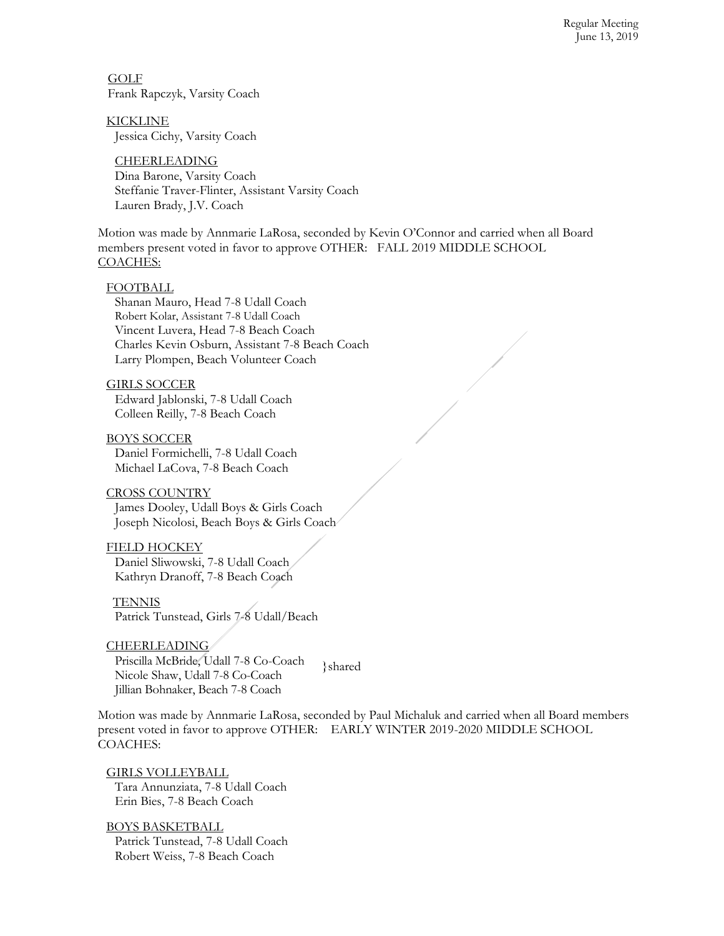Regular Meeting June 13, 2019

 GOLF Frank Rapczyk, Varsity Coach

KICKLINE Jessica Cichy, Varsity Coach

CHEERLEADING Dina Barone, Varsity Coach Steffanie Traver-Flinter, Assistant Varsity Coach Lauren Brady, J.V. Coach

Motion was made by Annmarie LaRosa, seconded by Kevin O'Connor and carried when all Board members present voted in favor to approve OTHER: FALL 2019 MIDDLE SCHOOL COACHES:

### FOOTBALL

Shanan Mauro, Head 7-8 Udall Coach Robert Kolar, Assistant 7-8 Udall Coach Vincent Luvera, Head 7-8 Beach Coach Charles Kevin Osburn, Assistant 7-8 Beach Coach Larry Plompen, Beach Volunteer Coach

## GIRLS SOCCER

Edward Jablonski, 7-8 Udall Coach Colleen Reilly, 7-8 Beach Coach

BOYS SOCCER Daniel Formichelli, 7-8 Udall Coach Michael LaCova, 7-8 Beach Coach

#### CROSS COUNTRY

James Dooley, Udall Boys & Girls Coach Joseph Nicolosi, Beach Boys & Girls Coach

#### FIELD HOCKEY

Daniel Sliwowski, 7-8 Udall Coach Kathryn Dranoff, 7-8 Beach Coach

**TENNIS** Patrick Tunstead, Girls 7-8 Udall/Beach

**CHEERLEADING** Priscilla McBride, Udall 7-8 Co-Coach Nicole Shaw, Udall 7-8 Co-Coach Jillian Bohnaker, Beach 7-8 Coach

}shared

Motion was made by Annmarie LaRosa, seconded by Paul Michaluk and carried when all Board members present voted in favor to approve OTHER: EARLY WINTER 2019-2020 MIDDLE SCHOOL COACHES:

GIRLS VOLLEYBALL Tara Annunziata, 7-8 Udall Coach Erin Bies, 7-8 Beach Coach

BOYS BASKETBALL Patrick Tunstead, 7-8 Udall Coach Robert Weiss, 7-8 Beach Coach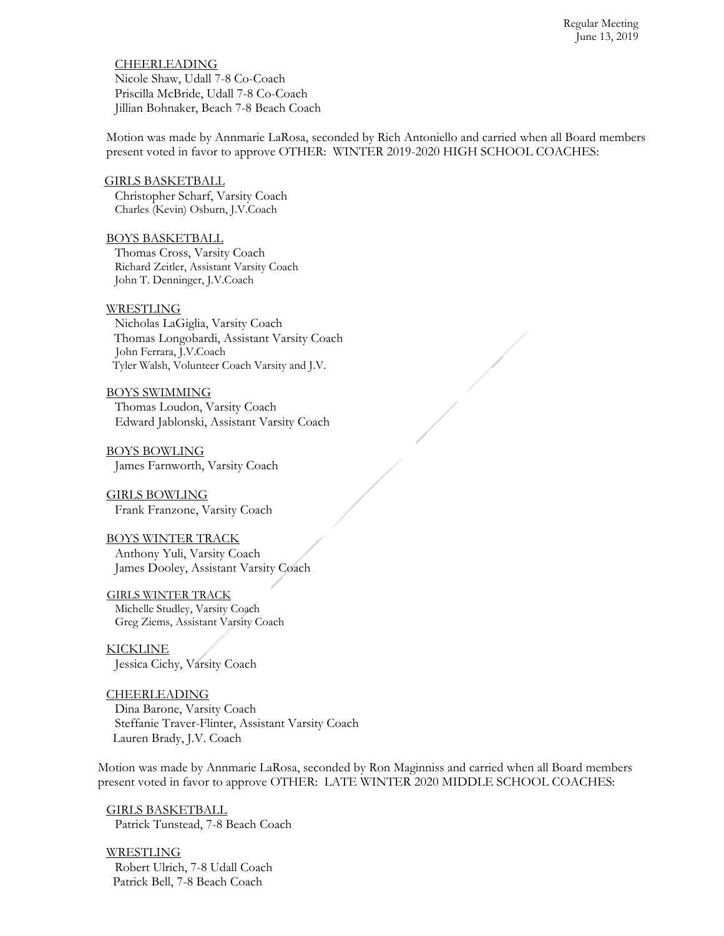**CHEERLEADING** Nicole Shaw, Udall 7-8 Co-Coach Priscilla McBride, Udall 7-8 Co-Coach Jillian Bohnaker, Beach 7-8 Beach Coach

Motion was made by Annmarie LaRosa, seconded by Rich Antoniello and carried when all Board members present voted in favor to approve OTHER: WINTER 2019-2020 HIGH SCHOOL COACHES:

 GIRLS BASKETBALL Christopher Scharf, Varsity Coach Charles (Kevin) Osburn, J.V.Coach

#### BOYS BASKETBALL

Thomas Cross, Varsity Coach Richard Zeitler, Assistant Varsity Coach John T. Denninger, J.V.Coach

### WRESTLING

Nicholas LaGiglia, Varsity Coach Thomas Longobardi, Assistant Varsity Coach John Ferrara, J.V.Coach Tyler Walsh, Volunteer Coach Varsity and J.V.

BOYS SWIMMING Thomas Loudon, Varsity Coach Edward Jablonski, Assistant Varsity Coach

BOYS BOWLING James Farnworth, Varsity Coach

GIRLS BOWLING Frank Franzone, Varsity Coach

# BOYS WINTER TRACK

Anthony Yuli, Varsity Coach James Dooley, Assistant Varsity Coach

 GIRLS WINTER TRACK Michelle Studley, Varsity Coach Greg Ziems, Assistant Varsity Coach

KICKLINE Jessica Cichy, Varsity Coach

## **CHEERLEADING**

Dina Barone, Varsity Coach Steffanie Traver-Flinter, Assistant Varsity Coach Lauren Brady, J.V. Coach

Motion was made by Annmarie LaRosa, seconded by Ron Maginniss and carried when all Board members present voted in favor to approve OTHER: LATE WINTER 2020 MIDDLE SCHOOL COACHES:

GIRLS BASKETBALL Patrick Tunstead, 7-8 Beach Coach

WRESTLING Robert Ulrich, 7-8 Udall Coach Patrick Bell, 7-8 Beach Coach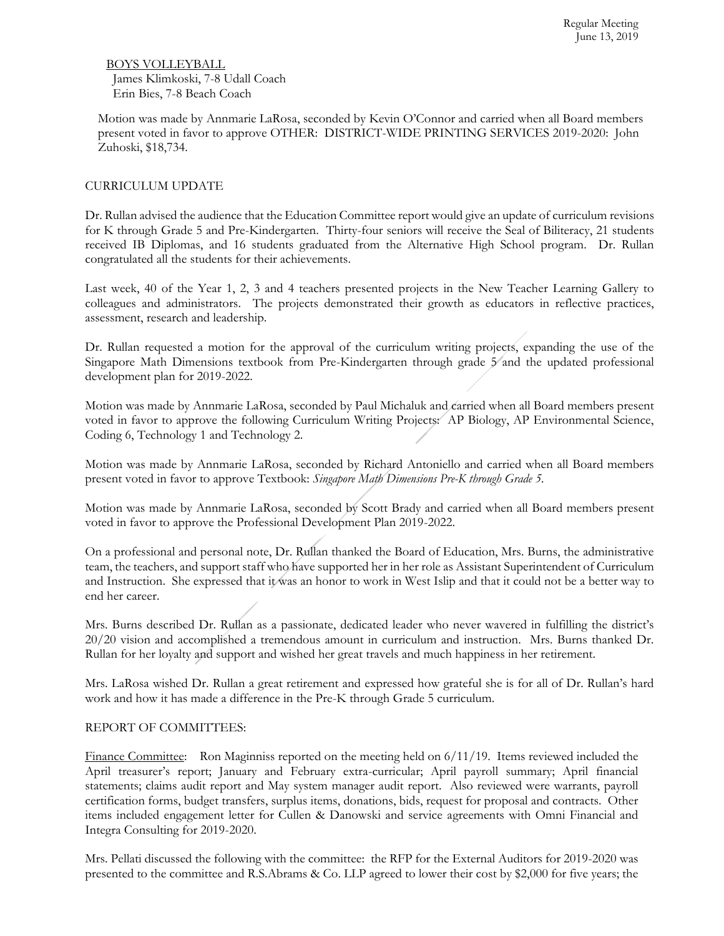BOYS VOLLEYBALL James Klimkoski, 7-8 Udall Coach Erin Bies, 7-8 Beach Coach

Motion was made by Annmarie LaRosa, seconded by Kevin O'Connor and carried when all Board members present voted in favor to approve OTHER: DISTRICT-WIDE PRINTING SERVICES 2019-2020: John Zuhoski, \$18,734.

## CURRICULUM UPDATE

Dr. Rullan advised the audience that the Education Committee report would give an update of curriculum revisions for K through Grade 5 and Pre-Kindergarten. Thirty-four seniors will receive the Seal of Biliteracy, 21 students received IB Diplomas, and 16 students graduated from the Alternative High School program. Dr. Rullan congratulated all the students for their achievements.

Last week, 40 of the Year 1, 2, 3 and 4 teachers presented projects in the New Teacher Learning Gallery to colleagues and administrators. The projects demonstrated their growth as educators in reflective practices, assessment, research and leadership.

Dr. Rullan requested a motion for the approval of the curriculum writing projects, expanding the use of the Singapore Math Dimensions textbook from Pre-Kindergarten through grade 5<sup>*/*</sup> and the updated professional development plan for 2019-2022.

Motion was made by Annmarie LaRosa, seconded by Paul Michaluk and carried when all Board members present voted in favor to approve the following Curriculum Writing Projects: AP Biology, AP Environmental Science, Coding 6, Technology 1 and Technology 2.

Motion was made by Annmarie LaRosa, seconded by Richard Antoniello and carried when all Board members present voted in favor to approve Textbook: *Singapore Math Dimensions Pre-K through Grade 5.*

Motion was made by Annmarie LaRosa, seconded by Scott Brady and carried when all Board members present voted in favor to approve the Professional Development Plan 2019-2022.

On a professional and personal note, Dr. Rullan thanked the Board of Education, Mrs. Burns, the administrative team, the teachers, and support staff who have supported her in her role as Assistant Superintendent of Curriculum and Instruction. She expressed that it was an honor to work in West Islip and that it could not be a better way to end her career.

Mrs. Burns described Dr. Rullan as a passionate, dedicated leader who never wavered in fulfilling the district's 20/20 vision and accomplished a tremendous amount in curriculum and instruction. Mrs. Burns thanked Dr. Rullan for her loyalty and support and wished her great travels and much happiness in her retirement.

Mrs. LaRosa wished Dr. Rullan a great retirement and expressed how grateful she is for all of Dr. Rullan's hard work and how it has made a difference in the Pre-K through Grade 5 curriculum.

## REPORT OF COMMITTEES:

Finance Committee: Ron Maginniss reported on the meeting held on  $6/11/19$ . Items reviewed included the April treasurer's report; January and February extra-curricular; April payroll summary; April financial statements; claims audit report and May system manager audit report. Also reviewed were warrants, payroll certification forms, budget transfers, surplus items, donations, bids, request for proposal and contracts. Other items included engagement letter for Cullen & Danowski and service agreements with Omni Financial and Integra Consulting for 2019-2020.

Mrs. Pellati discussed the following with the committee: the RFP for the External Auditors for 2019-2020 was presented to the committee and R.S.Abrams & Co. LLP agreed to lower their cost by \$2,000 for five years; the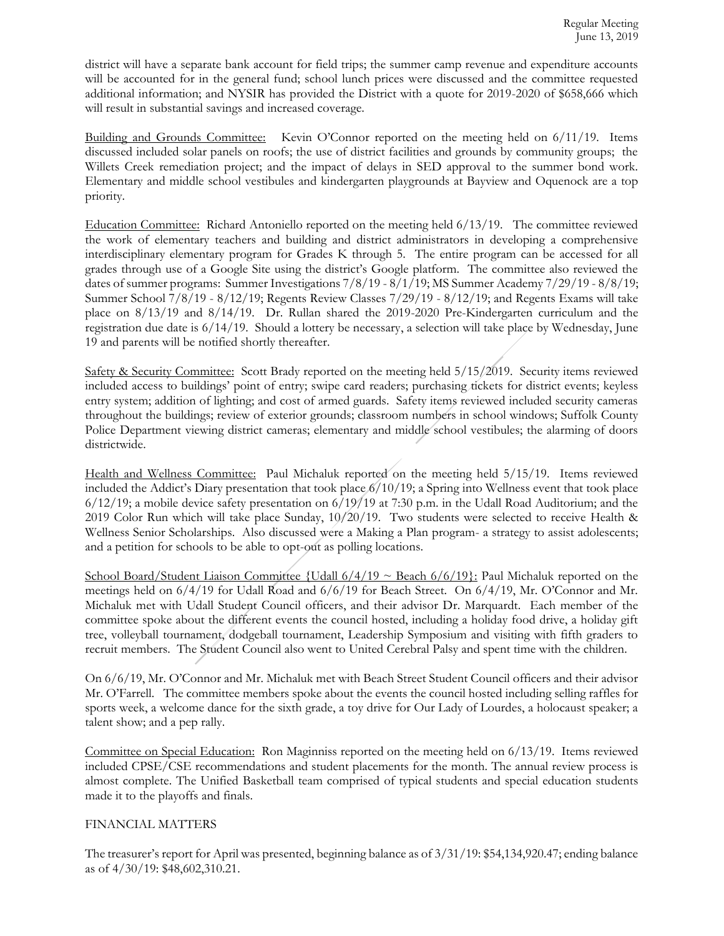district will have a separate bank account for field trips; the summer camp revenue and expenditure accounts will be accounted for in the general fund; school lunch prices were discussed and the committee requested additional information; and NYSIR has provided the District with a quote for 2019-2020 of \$658,666 which will result in substantial savings and increased coverage.

Building and Grounds Committee: Kevin O'Connor reported on the meeting held on 6/11/19. Items discussed included solar panels on roofs; the use of district facilities and grounds by community groups; the Willets Creek remediation project; and the impact of delays in SED approval to the summer bond work. Elementary and middle school vestibules and kindergarten playgrounds at Bayview and Oquenock are a top priority.

Education Committee: Richard Antoniello reported on the meeting held 6/13/19. The committee reviewed the work of elementary teachers and building and district administrators in developing a comprehensive interdisciplinary elementary program for Grades K through 5. The entire program can be accessed for all grades through use of a Google Site using the district's Google platform. The committee also reviewed the dates of summer programs: Summer Investigations 7/8/19 - 8/1/19; MS Summer Academy 7/29/19 - 8/8/19; Summer School 7/8/19 - 8/12/19; Regents Review Classes 7/29/19 - 8/12/19; and Regents Exams will take place on 8/13/19 and 8/14/19. Dr. Rullan shared the 2019-2020 Pre-Kindergarten curriculum and the registration due date is 6/14/19. Should a lottery be necessary, a selection will take place by Wednesday, June 19 and parents will be notified shortly thereafter.

Safety & Security Committee: Scott Brady reported on the meeting held 5/15/2019. Security items reviewed included access to buildings' point of entry; swipe card readers; purchasing tickets for district events; keyless entry system; addition of lighting; and cost of armed guards. Safety items reviewed included security cameras throughout the buildings; review of exterior grounds; classroom numbers in school windows; Suffolk County Police Department viewing district cameras; elementary and middle school vestibules; the alarming of doors districtwide.

Health and Wellness Committee: Paul Michaluk reported on the meeting held 5/15/19. Items reviewed included the Addict's Diary presentation that took place 6/10/19; a Spring into Wellness event that took place  $6/12/19$ ; a mobile device safety presentation on  $6/19/19$  at 7:30 p.m. in the Udall Road Auditorium; and the 2019 Color Run which will take place Sunday, 10/20/19. Two students were selected to receive Health & Wellness Senior Scholarships. Also discussed were a Making a Plan program- a strategy to assist adolescents; and a petition for schools to be able to opt-out as polling locations.

School Board/Student Liaison Committee {Udall  $6/4/19 \sim$  Beach  $6/6/19$ }: Paul Michaluk reported on the meetings held on 6/4/19 for Udall Road and 6/6/19 for Beach Street. On 6/4/19, Mr. O'Connor and Mr. Michaluk met with Udall Student Council officers, and their advisor Dr. Marquardt. Each member of the committee spoke about the different events the council hosted, including a holiday food drive, a holiday gift tree, volleyball tournament, dodgeball tournament, Leadership Symposium and visiting with fifth graders to recruit members. The Student Council also went to United Cerebral Palsy and spent time with the children.

On 6/6/19, Mr. O'Connor and Mr. Michaluk met with Beach Street Student Council officers and their advisor Mr. O'Farrell. The committee members spoke about the events the council hosted including selling raffles for sports week, a welcome dance for the sixth grade, a toy drive for Our Lady of Lourdes, a holocaust speaker; a talent show; and a pep rally.

Committee on Special Education: Ron Maginniss reported on the meeting held on 6/13/19. Items reviewed included CPSE/CSE recommendations and student placements for the month. The annual review process is almost complete. The Unified Basketball team comprised of typical students and special education students made it to the playoffs and finals.

## FINANCIAL MATTERS

The treasurer's report for April was presented, beginning balance as of 3/31/19: \$54,134,920.47; ending balance as of 4/30/19: \$48,602,310.21.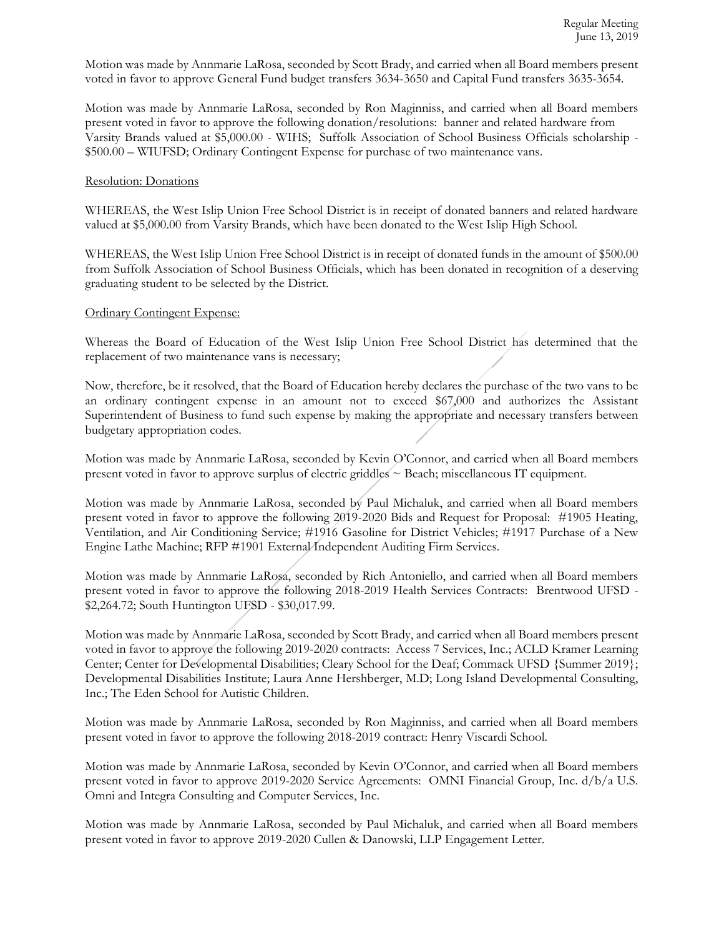Motion was made by Annmarie LaRosa, seconded by Scott Brady, and carried when all Board members present voted in favor to approve General Fund budget transfers 3634-3650 and Capital Fund transfers 3635-3654.

Motion was made by Annmarie LaRosa, seconded by Ron Maginniss, and carried when all Board members present voted in favor to approve the following donation/resolutions: banner and related hardware from Varsity Brands valued at \$5,000.00 - WIHS; Suffolk Association of School Business Officials scholarship - \$500.00 – WIUFSD; Ordinary Contingent Expense for purchase of two maintenance vans.

## Resolution: Donations

WHEREAS, the West Islip Union Free School District is in receipt of donated banners and related hardware valued at \$5,000.00 from Varsity Brands, which have been donated to the West Islip High School.

WHEREAS, the West Islip Union Free School District is in receipt of donated funds in the amount of \$500.00 from Suffolk Association of School Business Officials, which has been donated in recognition of a deserving graduating student to be selected by the District.

### Ordinary Contingent Expense:

Whereas the Board of Education of the West Islip Union Free School District has determined that the replacement of two maintenance vans is necessary;

Now, therefore, be it resolved, that the Board of Education hereby declares the purchase of the two vans to be an ordinary contingent expense in an amount not to exceed \$67,000 and authorizes the Assistant Superintendent of Business to fund such expense by making the appropriate and necessary transfers between budgetary appropriation codes.

Motion was made by Annmarie LaRosa, seconded by Kevin O'Connor, and carried when all Board members present voted in favor to approve surplus of electric griddles ~ Beach; miscellaneous IT equipment.

Motion was made by Annmarie LaRosa, seconded by Paul Michaluk, and carried when all Board members present voted in favor to approve the following 2019-2020 Bids and Request for Proposal: #1905 Heating, Ventilation, and Air Conditioning Service; #1916 Gasoline for District Vehicles; #1917 Purchase of a New Engine Lathe Machine; RFP #1901 External Independent Auditing Firm Services.

Motion was made by Annmarie LaRosa, seconded by Rich Antoniello, and carried when all Board members present voted in favor to approve the following 2018-2019 Health Services Contracts: Brentwood UFSD - \$2,264.72; South Huntington UFSD - \$30,017.99.

Motion was made by Annmarie LaRosa, seconded by Scott Brady, and carried when all Board members present voted in favor to approve the following 2019-2020 contracts: Access 7 Services, Inc.; ACLD Kramer Learning Center; Center for Developmental Disabilities; Cleary School for the Deaf; Commack UFSD {Summer 2019}; Developmental Disabilities Institute; Laura Anne Hershberger, M.D; Long Island Developmental Consulting, Inc.; The Eden School for Autistic Children.

Motion was made by Annmarie LaRosa, seconded by Ron Maginniss, and carried when all Board members present voted in favor to approve the following 2018-2019 contract: Henry Viscardi School.

Motion was made by Annmarie LaRosa, seconded by Kevin O'Connor, and carried when all Board members present voted in favor to approve 2019-2020 Service Agreements: OMNI Financial Group, Inc. d/b/a U.S. Omni and Integra Consulting and Computer Services, Inc.

Motion was made by Annmarie LaRosa, seconded by Paul Michaluk, and carried when all Board members present voted in favor to approve 2019-2020 Cullen & Danowski, LLP Engagement Letter.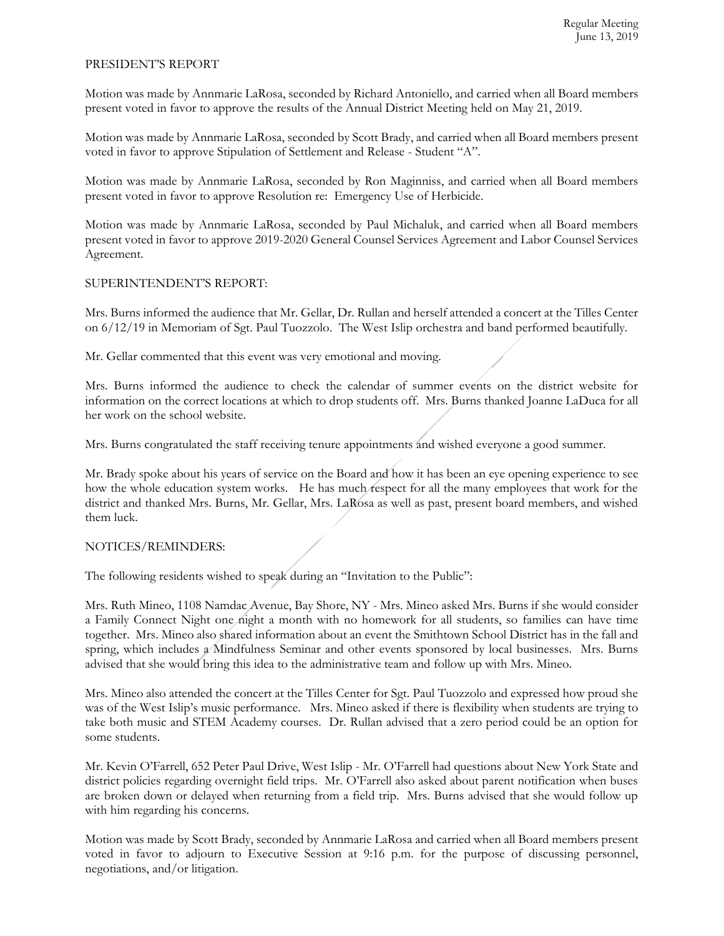## PRESIDENT'S REPORT

Motion was made by Annmarie LaRosa, seconded by Richard Antoniello, and carried when all Board members present voted in favor to approve the results of the Annual District Meeting held on May 21, 2019.

Motion was made by Annmarie LaRosa, seconded by Scott Brady, and carried when all Board members present voted in favor to approve Stipulation of Settlement and Release - Student "A".

Motion was made by Annmarie LaRosa, seconded by Ron Maginniss, and carried when all Board members present voted in favor to approve Resolution re: Emergency Use of Herbicide.

Motion was made by Annmarie LaRosa, seconded by Paul Michaluk, and carried when all Board members present voted in favor to approve 2019-2020 General Counsel Services Agreement and Labor Counsel Services Agreement.

## SUPERINTENDENT'S REPORT:

Mrs. Burns informed the audience that Mr. Gellar, Dr. Rullan and herself attended a concert at the Tilles Center on 6/12/19 in Memoriam of Sgt. Paul Tuozzolo. The West Islip orchestra and band performed beautifully.

Mr. Gellar commented that this event was very emotional and moving.

Mrs. Burns informed the audience to check the calendar of summer events on the district website for information on the correct locations at which to drop students off. Mrs. Burns thanked Joanne LaDuca for all her work on the school website.

Mrs. Burns congratulated the staff receiving tenure appointments and wished everyone a good summer.

Mr. Brady spoke about his years of service on the Board and how it has been an eye opening experience to see how the whole education system works. He has much respect for all the many employees that work for the district and thanked Mrs. Burns, Mr. Gellar, Mrs. LaRosa as well as past, present board members, and wished them luck.

## NOTICES/REMINDERS:

The following residents wished to speak during an "Invitation to the Public":

Mrs. Ruth Mineo, 1108 Namdac Avenue, Bay Shore, NY - Mrs. Mineo asked Mrs. Burns if she would consider a Family Connect Night one night a month with no homework for all students, so families can have time together. Mrs. Mineo also shared information about an event the Smithtown School District has in the fall and spring, which includes a Mindfulness Seminar and other events sponsored by local businesses. Mrs. Burns advised that she would bring this idea to the administrative team and follow up with Mrs. Mineo.

Mrs. Mineo also attended the concert at the Tilles Center for Sgt. Paul Tuozzolo and expressed how proud she was of the West Islip's music performance. Mrs. Mineo asked if there is flexibility when students are trying to take both music and STEM Academy courses. Dr. Rullan advised that a zero period could be an option for some students.

Mr. Kevin O'Farrell, 652 Peter Paul Drive, West Islip - Mr. O'Farrell had questions about New York State and district policies regarding overnight field trips. Mr. O'Farrell also asked about parent notification when buses are broken down or delayed when returning from a field trip. Mrs. Burns advised that she would follow up with him regarding his concerns.

Motion was made by Scott Brady, seconded by Annmarie LaRosa and carried when all Board members present voted in favor to adjourn to Executive Session at 9:16 p.m. for the purpose of discussing personnel, negotiations, and/or litigation.